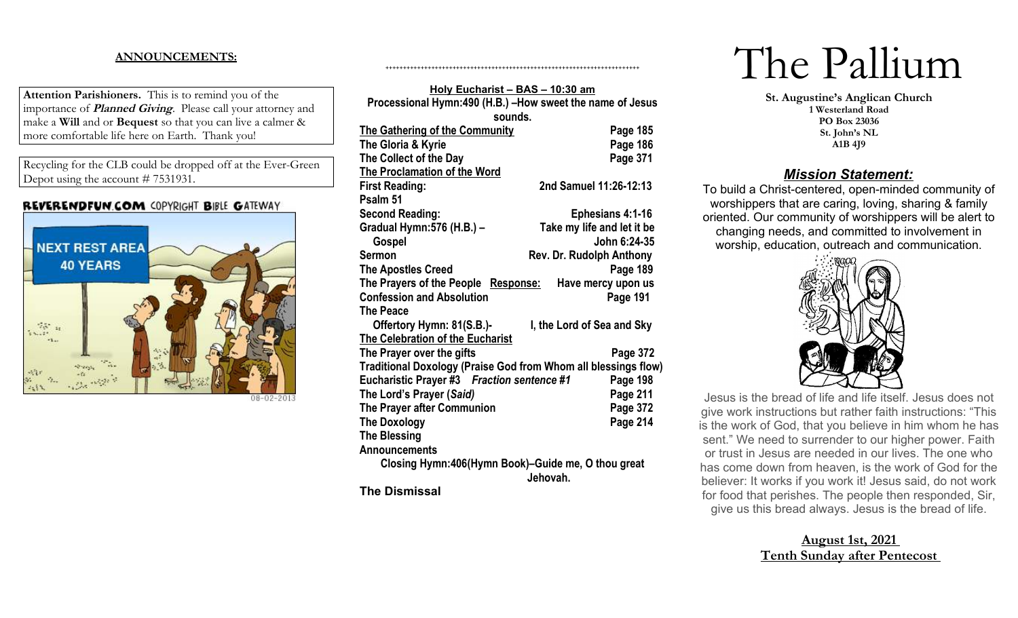### **ANNOUNCEMENTS:**

**Attention Parishioners.** This is to remind you of the importance of **Planned Giving**. Please call your attorney and make a **Will** and or **Bequest** so that you can live a calmer & more comfortable life here on Earth. Thank you!

Recycling for the CLB could be dropped off at the Ever-Green Depot using the account # 7531931.

#### **REVERENDFUN.COM COPYRIGHT BIBLE GATEWAY**



08-02-2013

| Holy Eucharist - BAS - 10:30 am                                |                            |  |
|----------------------------------------------------------------|----------------------------|--|
| Processional Hymn:490 (H.B.) -How sweet the name of Jesus      |                            |  |
| sounds.                                                        |                            |  |
| <b>The Gathering of the Community</b>                          | Page 185                   |  |
| The Gloria & Kyrie                                             | Page 186                   |  |
| The Collect of the Day                                         | Page 371                   |  |
| The Proclamation of the Word                                   |                            |  |
| <b>First Reading:</b>                                          | 2nd Samuel 11:26-12:13     |  |
| Psalm 51                                                       |                            |  |
| <b>Second Reading:</b>                                         | <b>Ephesians 4:1-16</b>    |  |
| Gradual Hymn: 576 (H.B.) -                                     | Take my life and let it be |  |
| Gospel                                                         | John 6:24-35               |  |
| <b>Sermon</b>                                                  | Rev. Dr. Rudolph Anthony   |  |
| <b>The Apostles Creed</b>                                      | Page 189                   |  |
| The Prayers of the People<br>Response:                         | Have mercy upon us         |  |
| <b>Confession and Absolution</b>                               | Page 191                   |  |
| <b>The Peace</b>                                               |                            |  |
| Offertory Hymn: 81(S.B.)-                                      | I, the Lord of Sea and Sky |  |
| The Celebration of the Eucharist                               |                            |  |
| The Prayer over the gifts                                      | Page 372                   |  |
| Traditional Doxology (Praise God from Whom all blessings flow) |                            |  |
| Eucharistic Prayer #3 Fraction sentence #1                     | Page 198                   |  |
| The Lord's Prayer (Said)                                       | Page 211                   |  |
| The Prayer after Communion                                     | Page 372                   |  |
| <b>The Doxology</b>                                            | Page 214                   |  |
| <b>The Blessing</b>                                            |                            |  |
| Announcements                                                  |                            |  |
| Closing Hymn:406(Hymn Book)-Guide me, O thou great             |                            |  |
|                                                                | Jehovah.                   |  |
| <b>The Dismissal</b>                                           |                            |  |

++++++++++++++++++++++++++++++++++++++++++++++++++++++++++++++++++++++++

# The Pallium

**St. Augustine's Anglican Church 1 Westerland Road PO Box 23036 St. John's NL A1B 4J9**

## *Mission Statement:*

To build a Christ-centered, open-minded community of worshippers that are caring, loving, sharing & family oriented. Our community of worshippers will be alert to changing needs, and committed to involvement in worship, education, outreach and communication.



Jesus is the bread of life and life itself. Jesus does not give work instructions but rather faith instructions: "This is the work of God, that you believe in him whom he has sent." We need to surrender to our higher power. Faith or trust in Jesus are needed in our lives. The one who has come down from heaven, is the work of God for the believer: It works if you work it! Jesus said, do not work for food that perishes. The people then responded, Sir, give us this bread always. Jesus is the bread of life.

# **August 1st, 2021 Tenth Sunday after Pentecost**